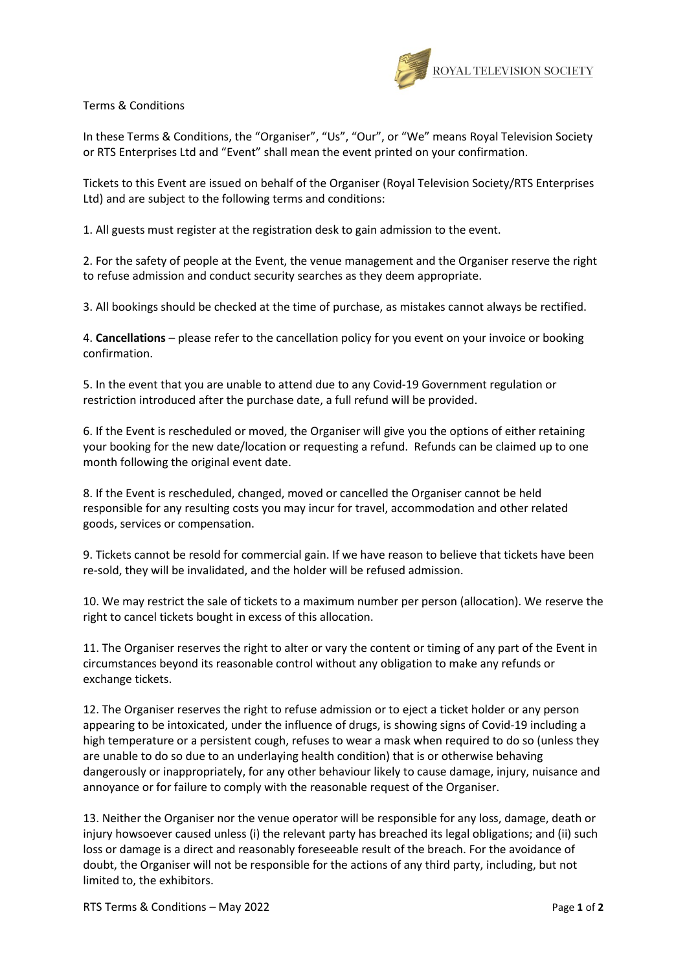

Terms & Conditions

In these Terms & Conditions, the "Organiser", "Us", "Our", or "We" means Royal Television Society or RTS Enterprises Ltd and "Event" shall mean the event printed on your confirmation.

Tickets to this Event are issued on behalf of the Organiser (Royal Television Society/RTS Enterprises Ltd) and are subject to the following terms and conditions:

1. All guests must register at the registration desk to gain admission to the event.

2. For the safety of people at the Event, the venue management and the Organiser reserve the right to refuse admission and conduct security searches as they deem appropriate.

3. All bookings should be checked at the time of purchase, as mistakes cannot always be rectified.

4. **Cancellations** – please refer to the cancellation policy for you event on your invoice or booking confirmation.

5. In the event that you are unable to attend due to any Covid-19 Government regulation or restriction introduced after the purchase date, a full refund will be provided.

6. If the Event is rescheduled or moved, the Organiser will give you the options of either retaining your booking for the new date/location or requesting a refund. Refunds can be claimed up to one month following the original event date.

8. If the Event is rescheduled, changed, moved or cancelled the Organiser cannot be held responsible for any resulting costs you may incur for travel, accommodation and other related goods, services or compensation.

9. Tickets cannot be resold for commercial gain. If we have reason to believe that tickets have been re-sold, they will be invalidated, and the holder will be refused admission.

10. We may restrict the sale of tickets to a maximum number per person (allocation). We reserve the right to cancel tickets bought in excess of this allocation.

11. The Organiser reserves the right to alter or vary the content or timing of any part of the Event in circumstances beyond its reasonable control without any obligation to make any refunds or exchange tickets.

12. The Organiser reserves the right to refuse admission or to eject a ticket holder or any person appearing to be intoxicated, under the influence of drugs, is showing signs of Covid-19 including a high temperature or a persistent cough, refuses to wear a mask when required to do so (unless they are unable to do so due to an underlaying health condition) that is or otherwise behaving dangerously or inappropriately, for any other behaviour likely to cause damage, injury, nuisance and annoyance or for failure to comply with the reasonable request of the Organiser.

13. Neither the Organiser nor the venue operator will be responsible for any loss, damage, death or injury howsoever caused unless (i) the relevant party has breached its legal obligations; and (ii) such loss or damage is a direct and reasonably foreseeable result of the breach. For the avoidance of doubt, the Organiser will not be responsible for the actions of any third party, including, but not limited to, the exhibitors.